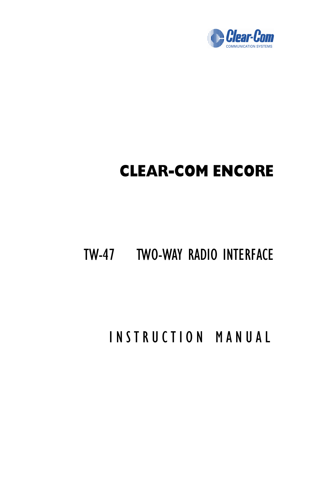

## **CLEAR-COM ENCORE**

### TW-47 TWO-WAY RADIO INTERFACE

## INSTRUCTION MANUAL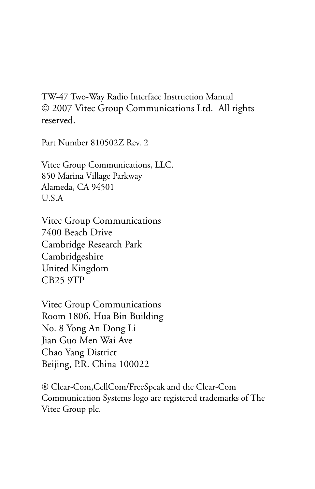TW-47 Two-Way Radio Interface Instruction Manual © 2007 Vitec Group Communications Ltd. All rights reserved.

Part Number 810502Z Rev. 2

Vitec Group Communications, LLC. 850 Marina Village Parkway Alameda, CA 94501 U.S.A

Vitec Group Communications 7400 Beach Drive Cambridge Research Park Cambridgeshire United Kingdom CB25 9TP

Vitec Group Communications Room 1806, Hua Bin Building No. 8 Yong An Dong Li Jian Guo Men Wai Ave Chao Yang District Beijing, P.R. China 100022

® Clear-Com,CellCom/FreeSpeak and the Clear-Com Communication Systems logo are registered trademarks of The Vitec Group plc.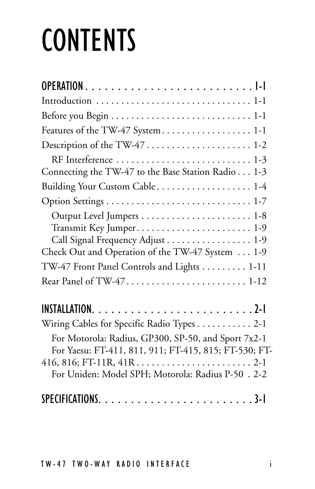# **CONTENTS**

| Features of the TW-47 System 1-1                                                                             |
|--------------------------------------------------------------------------------------------------------------|
| Description of the TW-47  1-2                                                                                |
| Connecting the TW-47 to the Base Station Radio 1-3                                                           |
| Building Your Custom Cable 1-4                                                                               |
|                                                                                                              |
| Call Signal Frequency Adjust 1-9<br>Check Out and Operation of the TW-47 System 1-9                          |
| TW-47 Front Panel Controls and Lights 1-11                                                                   |
|                                                                                                              |
|                                                                                                              |
| Wiring Cables for Specific Radio Types 2-1                                                                   |
| For Motorola: Radius, GP300, SP-50, and Sport 7x2-1<br>For Yaesu: FT-411, 811, 911; FT-415, 815; FT-530; FT- |
| For Uniden: Model SPH; Motorola: Radius P-50 . 2-2                                                           |
|                                                                                                              |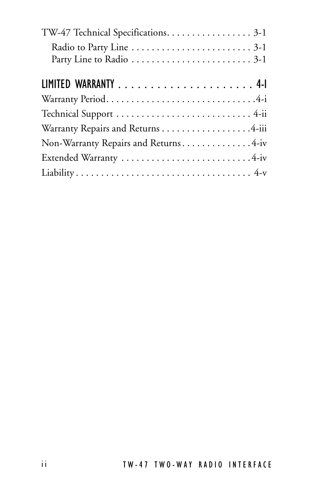| TW-47 Technical Specifications. 3-1  |
|--------------------------------------|
|                                      |
|                                      |
|                                      |
|                                      |
|                                      |
| Warranty Repairs and Returns 4-iii   |
| Non-Warranty Repairs and Returns4-iv |
|                                      |
|                                      |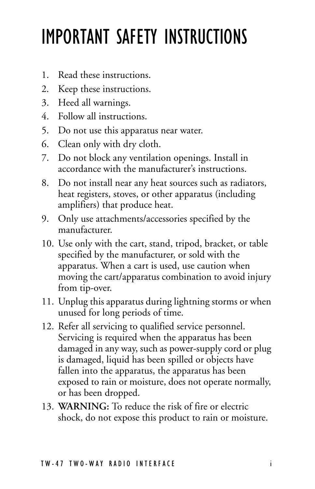# IMPORTANT SAFETY INSTRUCTIONS

- 1. Read these instructions.
- 2. Keep these instructions.
- 3. Heed all warnings.
- 4. Follow all instructions.
- 5. Do not use this apparatus near water.
- 6. Clean only with dry cloth.
- 7. Do not block any ventilation openings. Install in accordance with the manufacturer's instructions.
- 8. Do not install near any heat sources such as radiators, heat registers, stoves, or other apparatus (including amplifiers) that produce heat.
- 9. Only use attachments/accessories specified by the manufacturer.
- 10. Use only with the cart, stand, tripod, bracket, or table specified by the manufacturer, or sold with the apparatus. When a cart is used, use caution when moving the cart/apparatus combination to avoid injury from tip-over.
- 11. Unplug this apparatus during lightning storms or when unused for long periods of time.
- 12. Refer all servicing to qualified service personnel. Servicing is required when the apparatus has been damaged in any way, such as power-supply cord or plug is damaged, liquid has been spilled or objects have fallen into the apparatus, the apparatus has been exposed to rain or moisture, does not operate normally, or has been dropped.
- 13. **WARNING:** To reduce the risk of fire or electric shock, do not expose this product to rain or moisture.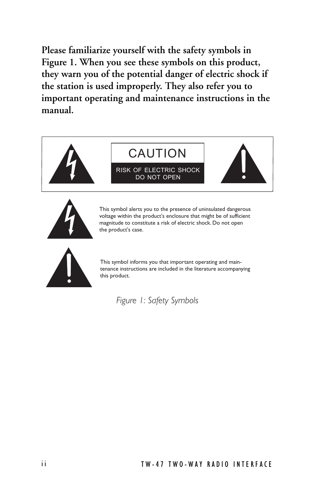**Please familiarize yourself with the safety symbols in Figure 1. When you see these symbols on this product, they warn you of the potential danger of electric shock if the station is used improperly. They also refer you to important operating and maintenance instructions in the manual.** 





This symbol alerts you to the presence of uninsulated dangerous voltage within the product's enclosure that might be of sufficient magnitude to constitute a risk of electric shock. Do not open the product's case.



This symbol informs you that important operating and maintenance instructions are included in the literature accompanying this product.

*Figure 1: Safety Symbols*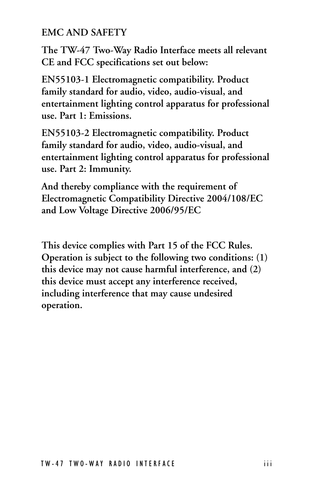#### **EMC AND SAFETY**

**The TW-47 Two-Way Radio Interface meets all relevant CE and FCC specifications set out below:**

**EN55103-1 Electromagnetic compatibility. Product family standard for audio, video, audio-visual, and entertainment lighting control apparatus for professional use. Part 1: Emissions.**

**EN55103-2 Electromagnetic compatibility. Product family standard for audio, video, audio-visual, and entertainment lighting control apparatus for professional use. Part 2: Immunity.**

**And thereby compliance with the requirement of Electromagnetic Compatibility Directive 2004/108/EC and Low Voltage Directive 2006/95/EC**

**This device complies with Part 15 of the FCC Rules. Operation is subject to the following two conditions: (1) this device may not cause harmful interference, and (2) this device must accept any interference received, including interference that may cause undesired operation.**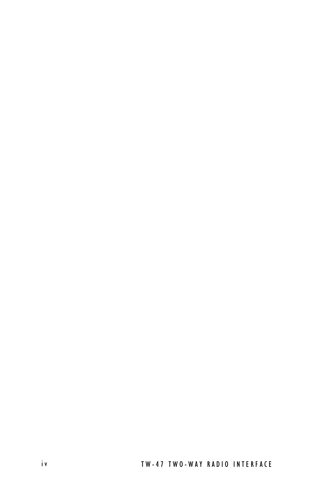#### iv TW-47 TWO-WAY RADIO INTERFACE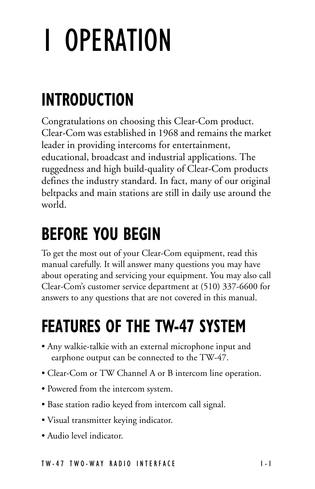# <span id="page-8-0"></span>1 OPERATION

# <span id="page-8-1"></span>**INTRODUCTION**

Congratulations on choosing this Clear-Com product. Clear-Com was established in 1968 and remains the market leader in providing intercoms for entertainment, educational, broadcast and industrial applications. The ruggedness and high build-quality of Clear-Com products defines the industry standard. In fact, many of our original beltpacks and main stations are still in daily use around the world.

## <span id="page-8-2"></span>**BEFORE YOU BEGIN**

To get the most out of your Clear-Com equipment, read this manual carefully. It will answer many questions you may have about operating and servicing your equipment. You may also call Clear-Com's customer service department at (510) 337-6600 for answers to any questions that are not covered in this manual.

# <span id="page-8-3"></span>**FEATURES OF THE TW-47 SYSTEM**

- Any walkie-talkie with an external microphone input and earphone output can be connected to the TW-47.
- Clear-Com or TW Channel A or B intercom line operation.
- Powered from the intercom system.
- Base station radio keyed from intercom call signal.
- Visual transmitter keying indicator.
- Audio level indicator.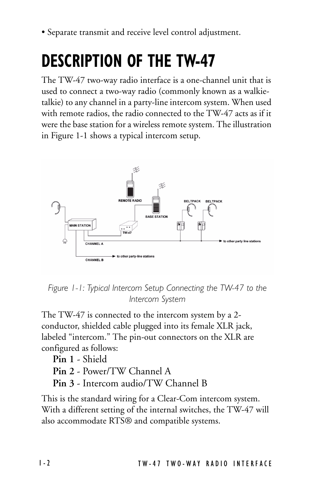• Separate transmit and receive level control adjustment.

# <span id="page-9-0"></span>**DESCRIPTION OF THE TW-47**

The TW-47 two-way radio interface is a one-channel unit that is used to connect a two-way radio (commonly known as a walkietalkie) to any channel in a party-line intercom system. When used with remote radios, the radio connected to the TW-47 acts as if it were the base station for a wireless remote system. The illustration in [Figure 1-1](#page-9-1) shows a typical intercom setup.



<span id="page-9-1"></span>*Figure 1-1: Typical Intercom Setup Connecting the TW-47 to the Intercom System* 

The TW-47 is connected to the intercom system by a 2 conductor, shielded cable plugged into its female XLR jack, labeled "intercom." The pin-out connectors on the XLR are configured as follows:

**Pin 1** - Shield

**Pin 2** - Power/TW Channel A

**Pin 3** - Intercom audio/TW Channel B

This is the standard wiring for a Clear-Com intercom system. With a different setting of the internal switches, the TW-47 will also accommodate RTS® and compatible systems.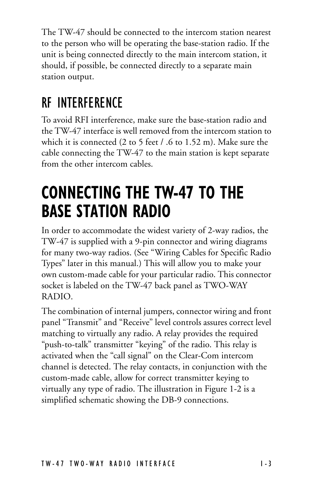The TW-47 should be connected to the intercom station nearest to the person who will be operating the base-station radio. If the unit is being connected directly to the main intercom station, it should, if possible, be connected directly to a separate main station output.

### <span id="page-10-0"></span>RF INTERFERENCE

To avoid RFI interference, make sure the base-station radio and the TW-47 interface is well removed from the intercom station to which it is connected (2 to 5 feet / .6 to 1.52 m). Make sure the cable connecting the TW-47 to the main station is kept separate from the other intercom cables.

## <span id="page-10-1"></span>**CONNECTING THE TW-47 TO THE BASE STATION RADIO**

In order to accommodate the widest variety of 2-way radios, the TW-47 is supplied with a 9-pin connector and wiring diagrams for many two-way radios. (See "Wiring Cables for Specific Radio Types" later in this manual.) This will allow you to make your own custom-made cable for your particular radio. This connector socket is labeled on the TW-47 back panel as TWO-WAY RADIO.

The combination of internal jumpers, connector wiring and front panel "Transmit" and "Receive" level controls assures correct level matching to virtually any radio. A relay provides the required "push-to-talk" transmitter "keying" of the radio. This relay is activated when the "call signal" on the Clear-Com intercom channel is detected. The relay contacts, in conjunction with the custom-made cable, allow for correct transmitter keying to virtually any type of radio. The illustration in [Figure 1-2](#page-11-1) is a simplified schematic showing the DB-9 connections.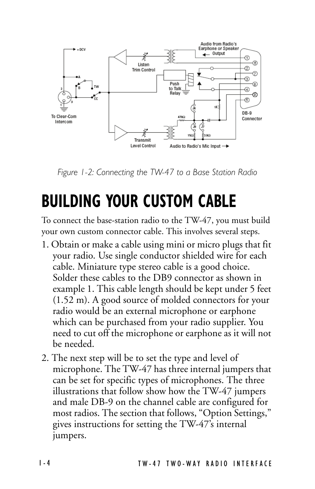

<span id="page-11-1"></span>*Figure 1-2: Connecting the TW-47 to a Base Station Radio*

## <span id="page-11-0"></span>**BUILDING YOUR CUSTOM CABLE**

To connect the base-station radio to the TW-47, you must build your own custom connector cable. This involves several steps.

- 1. Obtain or make a cable using mini or micro plugs that fit your radio. Use single conductor shielded wire for each cable. Miniature type stereo cable is a good choice. Solder these cables to the DB9 connector as shown in example 1. This cable length should be kept under 5 feet (1.52 m). A good source of molded connectors for your radio would be an external microphone or earphone which can be purchased from your radio supplier. You need to cut off the microphone or earphone as it will not be needed.
- 2. The next step will be to set the type and level of microphone. The TW-47 has three internal jumpers that can be set for specific types of microphones. The three illustrations that follow show how the TW-47 jumpers and male DB-9 on the channel cable are configured for most radios. The section that follows, "Option Settings," gives instructions for setting the TW-47's internal jumpers.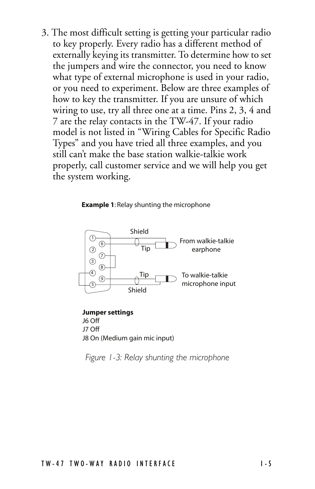3. The most difficult setting is getting your particular radio to key properly. Every radio has a different method of externally keying its transmitter. To determine how to set the jumpers and wire the connector, you need to know what type of external microphone is used in your radio, or you need to experiment. Below are three examples of how to key the transmitter. If you are unsure of which wiring to use, try all three one at a time. Pins 2, 3, 4 and 7 are the relay contacts in the TW-47. If your radio model is not listed in "Wiring Cables for Specific Radio Types" and you have tried all three examples, and you still can't make the base station walkie-talkie work properly, call customer service and we will help you get the system working.





**Jumper settings** J6 Off J7 Off J8 On (Medium gain mic input)

*Figure 1-3: Relay shunting the microphone*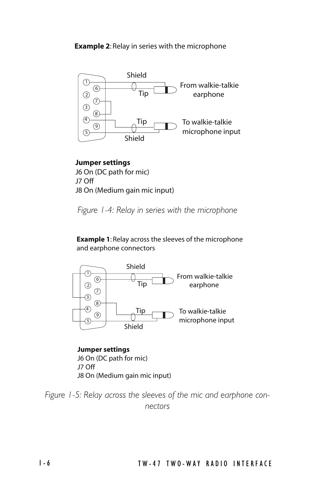**Example 2**: Relay in series with the microphone



**Jumper settings** J6 On (DC path for mic) J7 Off J8 On (Medium gain mic input)

*Figure 1-4: Relay in series with the microphone*

**Example 1**: Relay across the sleeves of the microphone and earphone connectors



**Jumper settings** J6 On (DC path for mic) J7 Off J8 On (Medium gain mic input)

*Figure 1-5: Relay across the sleeves of the mic and earphone connectors*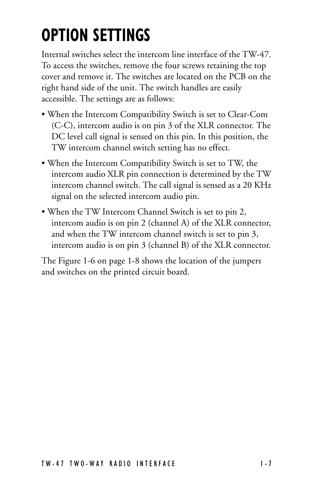# <span id="page-14-0"></span>**OPTION SETTINGS**

Internal switches select the intercom line interface of the TW-47. To access the switches, remove the four screws retaining the top cover and remove it. The switches are located on the PCB on the right hand side of the unit. The switch handles are easily accessible. The settings are as follows:

- When the Intercom Compatibility Switch is set to Clear-Com (C-C), intercom audio is on pin 3 of the XLR connector. The DC level call signal is sensed on this pin. In this position, the TW intercom channel switch setting has no effect.
- When the Intercom Compatibility Switch is set to TW, the intercom audio XLR pin connection is determined by the TW intercom channel switch. The call signal is sensed as a 20 KHz signal on the selected intercom audio pin.
- When the TW Intercom Channel Switch is set to pin 2, intercom audio is on pin 2 (channel A) of the XLR connector, and when the TW intercom channel switch is set to pin 3, intercom audio is on pin 3 (channel B) of the XLR connector.

The [Figure 1-6 on page 1-8](#page-15-1) shows the location of the jumpers and switches on the printed circuit board.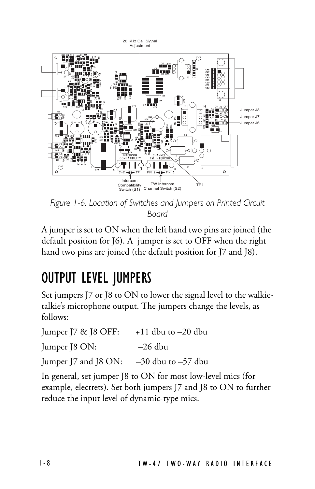

<span id="page-15-1"></span>*Figure 1-6: Location of Switches and Jumpers on Printed Circuit Board*

A jumper is set to ON when the left hand two pins are joined (the default position for J6). A jumper is set to OFF when the right hand two pins are joined (the default position for J7 and J8).

### <span id="page-15-0"></span>OUTPUT LEVEL JUMPERS

Set jumpers J7 or J8 to ON to lower the signal level to the walkietalkie's microphone output. The jumpers change the levels, as follows:

| Jumper J7 & J8 OFF:  | $+11$ dbu to $-20$ dbu |
|----------------------|------------------------|
| Jumper J8 ON:        | $-26$ dbu              |
| Jumper J7 and J8 ON: | $-30$ dbu to $-57$ dbu |

In general, set jumper J8 to ON for most low-level mics (for example, electrets). Set both jumpers J7 and J8 to ON to further reduce the input level of dynamic-type mics.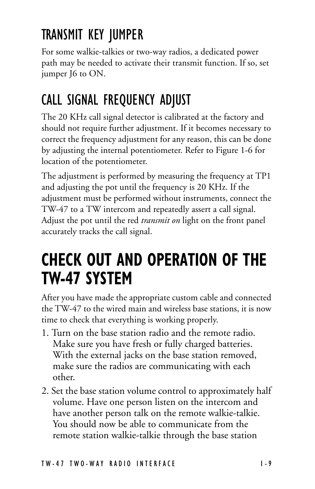### <span id="page-16-0"></span>TRANSMIT KEY JUMPER

For some walkie-talkies or two-way radios, a dedicated power path may be needed to activate their transmit function. If so, set jumper J6 to ON.

### <span id="page-16-1"></span>CALL SIGNAL FREQUENCY ADJUST

The 20 KHz call signal detector is calibrated at the factory and should not require further adjustment. If it becomes necessary to correct the frequency adjustment for any reason, this can be done by adjusting the internal potentiometer. Refer to [Figure 1-6](#page-15-1) for location of the potentiometer.

The adjustment is performed by measuring the frequency at TP1 and adjusting the pot until the frequency is 20 KHz. If the adjustment must be performed without instruments, connect the TW-47 to a TW intercom and repeatedly assert a call signal. Adjust the pot until the red *transmit on* light on the front panel accurately tracks the call signal.

## <span id="page-16-2"></span>**CHECK OUT AND OPERATION OF THE TW-47 SYSTEM**

After you have made the appropriate custom cable and connected the TW-47 to the wired main and wireless base stations, it is now time to check that everything is working properly.

- 1. Turn on the base station radio and the remote radio. Make sure you have fresh or fully charged batteries. With the external jacks on the base station removed, make sure the radios are communicating with each other.
- 2. Set the base station volume control to approximately half volume. Have one person listen on the intercom and have another person talk on the remote walkie-talkie. You should now be able to communicate from the remote station walkie-talkie through the base station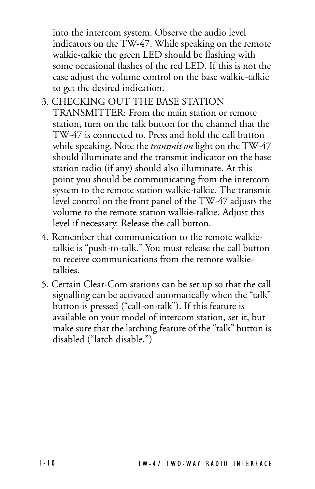into the intercom system. Observe the audio level indicators on the TW-47. While speaking on the remote walkie-talkie the green LED should be flashing with some occasional flashes of the red LED. If this is not the case adjust the volume control on the base walkie-talkie to get the desired indication.

- 3. CHECKING OUT THE BASE STATION TRANSMITTER: From the main station or remote station, turn on the talk button for the channel that the TW-47 is connected to. Press and hold the call button while speaking. Note the *transmit on* light on the TW-47 should illuminate and the transmit indicator on the base station radio (if any) should also illuminate. At this point you should be communicating from the intercom system to the remote station walkie-talkie. The transmit level control on the front panel of the TW-47 adjusts the volume to the remote station walkie-talkie. Adjust this level if necessary. Release the call button.
- 4. Remember that communication to the remote walkietalkie is "push-to-talk." You must release the call button to receive communications from the remote walkietalkies.
- 5. Certain Clear-Com stations can be set up so that the call signalling can be activated automatically when the "talk" button is pressed ("call-on-talk"). If this feature is available on your model of intercom station, set it, but make sure that the latching feature of the "talk" button is disabled ("latch disable.")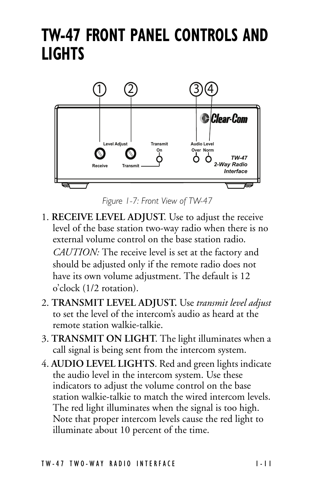## <span id="page-18-0"></span>**TW-47 FRONT PANEL CONTROLS AND LIGHTS**



*Figure 1-7: Front View of TW-47*

- 1. **RECEIVE LEVEL ADJUST**. Use to adjust the receive level of the base station two-way radio when there is no external volume control on the base station radio. *CAUTION:* The receive level is set at the factory and should be adjusted only if the remote radio does not have its own volume adjustment. The default is 12 o'clock (1/2 rotation).
- 2. **TRANSMIT LEVEL ADJUST.** Use *transmit level adjust* to set the level of the intercom's audio as heard at the remote station walkie-talkie.
- 3. **TRANSMIT ON LIGHT**. The light illuminates when a call signal is being sent from the intercom system.
- 4. **AUDIO LEVEL LIGHTS**. Red and green lights indicate the audio level in the intercom system. Use these indicators to adjust the volume control on the base station walkie-talkie to match the wired intercom levels. The red light illuminates when the signal is too high. Note that proper intercom levels cause the red light to illuminate about 10 percent of the time.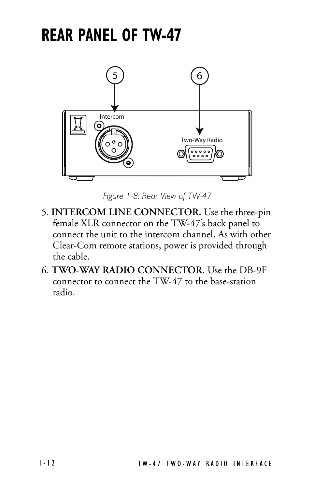## <span id="page-19-0"></span>**REAR PANEL OF TW-47**



*Figure 1-8: Rear View of TW-47*

- 5. **INTERCOM LINE CONNECTOR.** Use the three-pin female XLR connector on the TW-47's back panel to connect the unit to the intercom channel. As with other Clear-Com remote stations, power is provided through the cable.
- 6. **TWO-WAY RADIO CONNECTOR**. Use the DB-9F connector to connect the TW-47 to the base-station radio.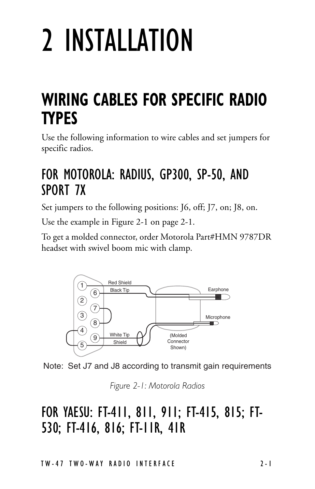# <span id="page-20-0"></span>2 INSTALLATION

## <span id="page-20-1"></span>**WIRING CABLES FOR SPECIFIC RADIO TYPES**

Use the following information to wire cables and set jumpers for specific radios.

#### <span id="page-20-2"></span>FOR MOTOROLA: RADIUS, GP300, SP-50, AND SPORT 7X

Set jumpers to the following positions: J6, off; J7, on; J8, on.

Use the example in [Figure 2-1 on page 2-1](#page-20-4).

To get a molded connector, order Motorola Part#HMN 9787DR headset with swivel boom mic with clamp.



<span id="page-20-4"></span>

*Figure 2-1: Motorola Radios*

### <span id="page-20-3"></span>FOR YAESU: FT-411, 811, 911; FT-415, 815; FT-530; FT-416, 816; FT-11R, 41R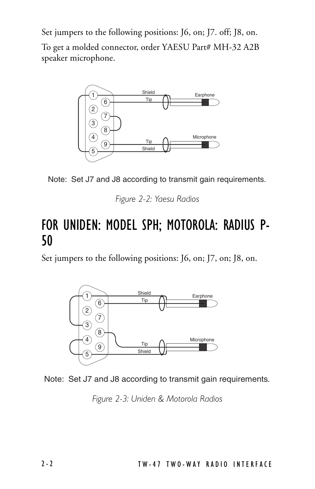Set jumpers to the following positions: J6, on; J7. off; J8, on.

To get a molded connector, order YAESU Part# MH-32 A2B speaker microphone.



Note: Set J7 and J8 according to transmit gain requirements.

*Figure 2-2: Yaesu Radios*

#### <span id="page-21-0"></span>FOR UNIDEN: MODEL SPH; MOTOROLA: RADIUS P-50

Set jumpers to the following positions: J6, on; J7, on; J8, on.





*Figure 2-3: Uniden & Motorola Radios*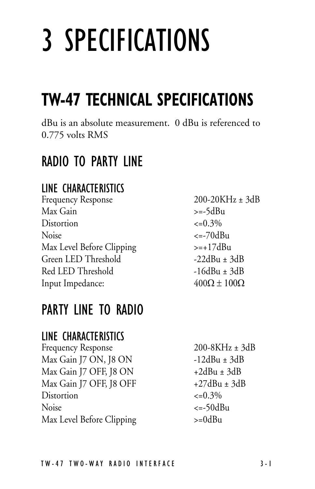# <span id="page-22-0"></span>3 SPECIFICATIONS

## <span id="page-22-1"></span>**TW-47 TECHNICAL SPECIFICATIONS**

dBu is an absolute measurement. 0 dBu is referenced to 0.775 volts RMS

#### <span id="page-22-2"></span>RADIO TO PARTY LINE

#### LINE CHARACTERISTICS

| <b>Frequency Response</b> | $200-20KHz \pm 3dB$       |
|---------------------------|---------------------------|
| Max Gain                  | $>=-5dBu$                 |
| Distortion                | $\epsilon = 0.3\%$        |
| Noise                     | <=-70dBu                  |
| Max Level Before Clipping | $>=+17dBu$                |
| Green LED Threshold       | $-22dBu \pm 3dB$          |
| Red LED Threshold         | $-16dBu \pm 3dB$          |
| Input Impedance:          | $400\Omega \pm 100\Omega$ |
|                           |                           |

#### <span id="page-22-3"></span>PARTY LINE TO RADIO

#### LINE CHARACTERISTICS

| 200-8KHz ± 3dB     |
|--------------------|
| $-12dBu \pm 3dB$   |
| $+2dBu \pm 3dB$    |
| $+27dBu \pm 3dB$   |
| $\epsilon = 0.3\%$ |
| $\epsilon$ =-50dBu |
| $>=0dBu$           |
|                    |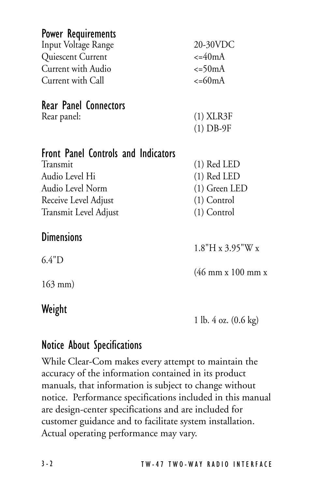| Power Requirements<br>Input Voltage Range<br>Quiescent Current<br>Current with Audio<br>Current with Call                              | 20-30VDC<br>$\epsilon = 40$ mA<br>$\epsilon = 50$ mA<br>$\epsilon = 60$ mA    |
|----------------------------------------------------------------------------------------------------------------------------------------|-------------------------------------------------------------------------------|
| <b>Rear Panel Connectors</b><br>Rear panel:                                                                                            | (1) XLR3F<br>$(1)$ DB-9F                                                      |
| Front Panel Controls and Indicators<br>Transmit<br>Audio Level Hi<br>Audio Level Norm<br>Receive Level Adjust<br>Transmit Level Adjust | $(1)$ Red LED<br>(1) Red LED<br>$(1)$ Green LED<br>(1) Control<br>(1) Control |
| <b>Dimensions</b><br>6.4"D<br>$163$ mm $)$                                                                                             | 1.8"H x 3.95"W x<br>$(46 \text{ mm} \times 100 \text{ mm} \times$             |
| Weight                                                                                                                                 | 1 lb. $4$ oz. $(0.6 \text{ kg})$                                              |

#### Notice About Specifications

While Clear-Com makes every attempt to maintain the accuracy of the information contained in its product manuals, that information is subject to change without notice. Performance specifications included in this manual are design-center specifications and are included for customer guidance and to facilitate system installation. Actual operating performance may vary.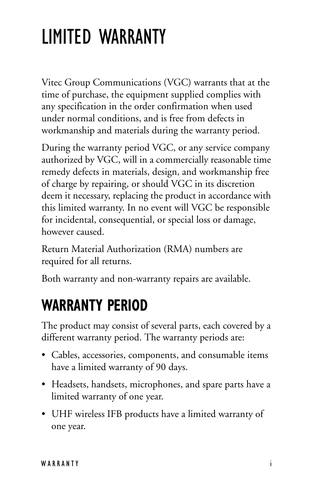# <span id="page-24-0"></span>LIMITED WARRANTY

Vitec Group Communications (VGC) warrants that at the time of purchase, the equipment supplied complies with any specification in the order confirmation when used under normal conditions, and is free from defects in workmanship and materials during the warranty period.

During the warranty period VGC, or any service company authorized by VGC, will in a commercially reasonable time remedy defects in materials, design, and workmanship free of charge by repairing, or should VGC in its discretion deem it necessary, replacing the product in accordance with this limited warranty. In no event will VGC be responsible for incidental, consequential, or special loss or damage, however caused.

Return Material Authorization (RMA) numbers are required for all returns.

Both warranty and non-warranty repairs are available.

## <span id="page-24-1"></span>**WARRANTY PERIOD**

The product may consist of several parts, each covered by a different warranty period. The warranty periods are:

- Cables, accessories, components, and consumable items have a limited warranty of 90 days.
- Headsets, handsets, microphones, and spare parts have a limited warranty of one year.
- UHF wireless IFB products have a limited warranty of one year.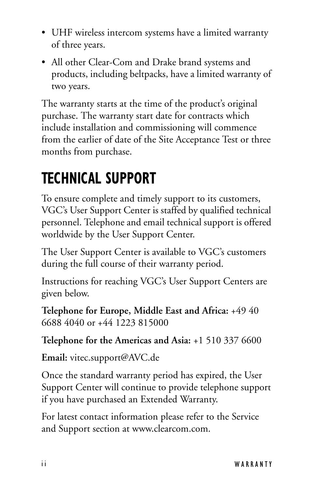- UHF wireless intercom systems have a limited warranty of three years.
- All other Clear-Com and Drake brand systems and products, including beltpacks, have a limited warranty of two years.

The warranty starts at the time of the product's original purchase. The warranty start date for contracts which include installation and commissioning will commence from the earlier of date of the Site Acceptance Test or three months from purchase.

## <span id="page-25-0"></span>**TECHNICAL SUPPORT**

To ensure complete and timely support to its customers, VGC's User Support Center is staffed by qualified technical personnel. Telephone and email technical support is offered worldwide by the User Support Center.

The User Support Center is available to VGC's customers during the full course of their warranty period.

Instructions for reaching VGC's User Support Centers are given below.

**Telephone for Europe, Middle East and Africa:** +49 40 6688 4040 or +44 1223 815000

**Telephone for the Americas and Asia:** +1 510 337 6600

**Email:** vitec.support@AVC.de

Once the standard warranty period has expired, the User Support Center will continue to provide telephone support if you have purchased an Extended Warranty.

For latest contact information please refer to the Service and Support section at www.clearcom.com.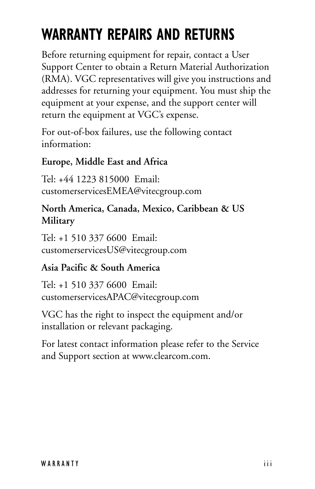## <span id="page-26-0"></span>**WARRANTY REPAIRS AND RETURNS**

Before returning equipment for repair, contact a User Support Center to obtain a Return Material Authorization (RMA). VGC representatives will give you instructions and addresses for returning your equipment. You must ship the equipment at your expense, and the support center will return the equipment at VGC's expense.

For out-of-box failures, use the following contact information:

#### **Europe, Middle East and Africa**

Tel: +44 1223 815000 Email: customerservicesEMEA@vitecgroup.com

#### **North America, Canada, Mexico, Caribbean & US Military**

Tel: +1 510 337 6600 Email: customerservicesUS@vitecgroup.com

#### **Asia Pacific & South America**

Tel: +1 510 337 6600 Email: customerservicesAPAC@vitecgroup.com

VGC has the right to inspect the equipment and/or installation or relevant packaging.

For latest contact information please refer to the Service and Support section at www.clearcom.com.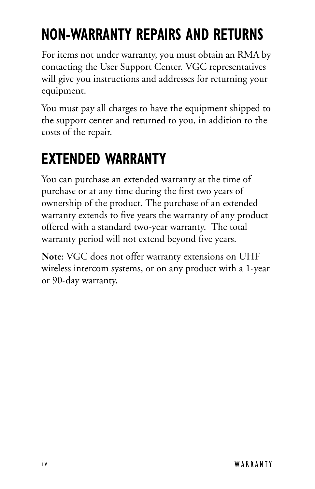## <span id="page-27-0"></span>**NON-WARRANTY REPAIRS AND RETURNS**

For items not under warranty, you must obtain an RMA by contacting the User Support Center. VGC representatives will give you instructions and addresses for returning your equipment.

You must pay all charges to have the equipment shipped to the support center and returned to you, in addition to the costs of the repair.

## <span id="page-27-1"></span>**EXTENDED WARRANTY**

You can purchase an extended warranty at the time of purchase or at any time during the first two years of ownership of the product. The purchase of an extended warranty extends to five years the warranty of any product offered with a standard two-year warranty. The total warranty period will not extend beyond five years.

**Note**: VGC does not offer warranty extensions on UHF wireless intercom systems, or on any product with a 1-year or 90-day warranty.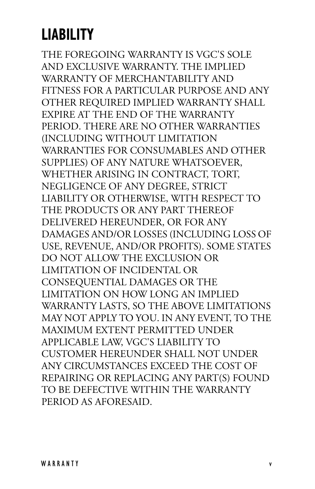## <span id="page-28-0"></span>**LIABILITY**

THE FOREGOING WARRANTY IS VGC'S SOLE AND EXCLUSIVE WARRANTY. THE IMPLIED WARRANTY OF MERCHANTABILITY AND FITNESS FOR A PARTICULAR PURPOSE AND ANY OTHER REQUIRED IMPLIED WARRANTY SHALL EXPIRE AT THE END OF THE WARRANTY PERIOD. THERE ARE NO OTHER WARRANTIES (INCLUDING WITHOUT LIMITATION WARRANTIES FOR CONSUMABLES AND OTHER SUPPLIES) OF ANY NATURE WHATSOEVER, WHETHER ARISING IN CONTRACT, TORT, NEGLIGENCE OF ANY DEGREE, STRICT LIABILITY OR OTHERWISE, WITH RESPECT TO THE PRODUCTS OR ANY PART THEREOF DELIVERED HEREUNDER, OR FOR ANY DAMAGES AND/OR LOSSES (INCLUDING LOSS OF USE, REVENUE, AND/OR PROFITS). SOME STATES DO NOT ALLOW THE EXCLUSION OR LIMITATION OF INCIDENTAL OR CONSEQUENTIAL DAMAGES OR THE LIMITATION ON HOW LONG AN IMPLIED WARRANTY LASTS, SO THE ABOVE LIMITATIONS MAY NOT APPLY TO YOU. IN ANY EVENT, TO THE MAXIMUM EXTENT PERMITTED UNDER APPLICABLE LAW, VGC'S LIABILITY TO CUSTOMER HEREUNDER SHALL NOT UNDER ANY CIRCUMSTANCES EXCEED THE COST OF REPAIRING OR REPLACING ANY PART(S) FOUND TO BE DEFECTIVE WITHIN THE WARRANTY PERIOD AS AFORESAID.